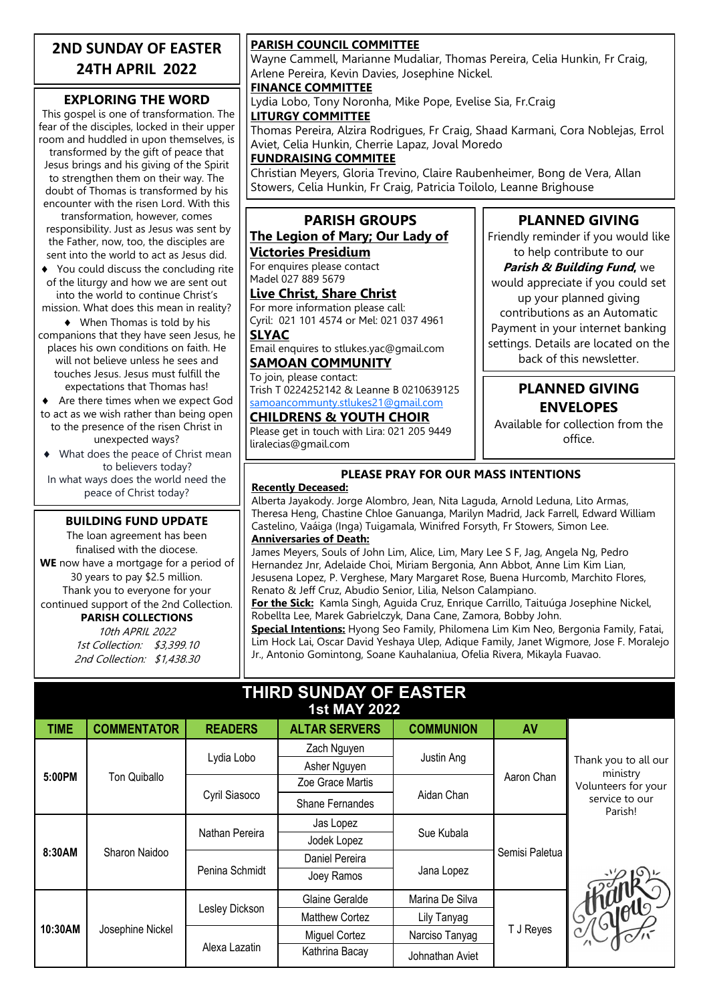## **2ND SUNDAY OF EASTER 24TH APRIL 2022**

#### **EXPLORING THE WORD**

This gospel is one of transformation. The fear of the disciples, locked in their upper room and huddled in upon themselves, is transformed by the gift of peace that Jesus brings and his giving of the Spirit to strengthen them on their way. The doubt of Thomas is transformed by his

encounter with the risen Lord. With this transformation, however, comes responsibility. Just as Jesus was sent by the Father, now, too, the disciples are sent into the world to act as Jesus did.

- ◆ You could discuss the concluding rite of the liturgy and how we are sent out into the world to continue Christ's
- mission. What does this mean in reality? When Thomas is told by his

companions that they have seen Jesus, he places his own conditions on faith. He will not believe unless he sees and touches Jesus. Jesus must fulfill the expectations that Thomas has!

◆ Are there times when we expect God to act as we wish rather than being open to the presence of the risen Christ in unexpected ways?

 What does the peace of Christ mean to believers today? In what ways does the world need the peace of Christ today?

#### **BUILDING FUND UPDATE**

The loan agreement has been finalised with the diocese.

**WE** now have a mortgage for a period of 30 years to pay \$2.5 million. Thank you to everyone for your continued support of the 2nd Collection.

#### **PARISH COLLECTIONS**

10th APRIL 2022 1st Collection: \$3,399.10 2nd Collection: \$1,438.30

#### **PARISH COUNCIL COMMITTEE**

Wayne Cammell, Marianne Mudaliar, Thomas Pereira, Celia Hunkin, Fr Craig, Arlene Pereira, Kevin Davies, Josephine Nickel.

**FINANCE COMMITTEE**

Lydia Lobo, Tony Noronha, Mike Pope, Evelise Sia, Fr.Craig

**LITURGY COMMITTEE** Thomas Pereira, Alzira Rodrigues, Fr Craig, Shaad Karmani, Cora Noblejas, Errol Aviet, Celia Hunkin, Cherrie Lapaz, Joval Moredo

#### **FUNDRAISING COMMITEE**

Christian Meyers, Gloria Trevino, Claire Raubenheimer, Bong de Vera, Allan Stowers, Celia Hunkin, Fr Craig, Patricia Toilolo, Leanne Brighouse

#### **PARISH GROUPS The Legion of Mary; Our Lady of**

## **Victories Presidium**

For enquires please contact Madel 027 889 5679

#### **Live Christ, Share Christ**

For more information please call: Cyril: 021 101 4574 or Mel: 021 037 4961 **SLYAC**

Email enquires to stlukes.yac@gmail.com **SAMOAN COMMUNITY**

To join, please contact: Trish T 0224252142 & Leanne B 0210639125 [samoancommunty.stlukes21@gmail.com](mailto:samoancommunity.stlukes21@gmail.com)

#### **CHILDRENS & YOUTH CHOIR**

Please get in touch with Lira: 021 205 9449 liralecias@gmail.com

#### **PLANNED GIVING** Friendly reminder if you would like

to help contribute to our **Parish & Building Fund,** we would appreciate if you could set up your planned giving contributions as an Automatic Payment in your internet banking settings. Details are located on the back of this newsletter.

### **PLANNED GIVING ENVELOPES**

Available for collection from the office.

#### **PLEASE PRAY FOR OUR MASS INTENTIONS**

#### **Recently Deceased:**

Alberta Jayakody. Jorge Alombro, Jean, Nita Laguda, Arnold Leduna, Lito Armas, Theresa Heng, Chastine Chloe Ganuanga, Marilyn Madrid, Jack Farrell, Edward William Castelino, Vaáiga (Inga) Tuigamala, Winifred Forsyth, Fr Stowers, Simon Lee. **Anniversaries of Death:**

James Meyers, Souls of John Lim, Alice, Lim, Mary Lee S F, Jag, Angela Ng, Pedro Hernandez Jnr, Adelaide Choi, Miriam Bergonia, Ann Abbot, Anne Lim Kim Lian, Jesusena Lopez, P. Verghese, Mary Margaret Rose, Buena Hurcomb, Marchito Flores, Renato & Jeff Cruz, Abudio Senior, Lilia, Nelson Calampiano.

**For the Sick:** Kamla Singh, Aguida Cruz, Enrique Carrillo, Taituúga Josephine Nickel, Robellta Lee, Marek Gabrielczyk, Dana Cane, Zamora, Bobby John.

**Special Intentions:** Hyong Seo Family, Philomena Lim Kim Neo, Bergonia Family, Fatai, Lim Hock Lai, Oscar David Yeshaya Ulep, Adique Family, Janet Wigmore, Jose F. Moralejo Jr., Antonio Gomintong, Soane Kauhalaniua, Ofelia Rivera, Mikayla Fuavao.

#### **THIRD SUNDAY OF EASTER 1st MAY 2022**

|             | 196 MIA 1955       |                |                       |                  |                |                                                                                      |
|-------------|--------------------|----------------|-----------------------|------------------|----------------|--------------------------------------------------------------------------------------|
| <b>TIME</b> | <b>COMMENTATOR</b> | <b>READERS</b> | <b>ALTAR SERVERS</b>  | <b>COMMUNION</b> | AV             |                                                                                      |
| 5:00PM      | Ton Quiballo       | Lydia Lobo     | Zach Nguyen           | Justin Ang       | Aaron Chan     | Thank you to all our<br>ministry<br>Volunteers for your<br>service to our<br>Parish! |
|             |                    |                | Asher Nguyen          |                  |                |                                                                                      |
|             |                    | Cyril Siasoco  | Zoe Grace Martis      | Aidan Chan       |                |                                                                                      |
|             |                    |                | Shane Fernandes       |                  |                |                                                                                      |
| 8:30AM      | Sharon Naidoo      | Nathan Pereira | Jas Lopez             | Sue Kubala       | Semisi Paletua |                                                                                      |
|             |                    |                | Jodek Lopez           |                  |                |                                                                                      |
|             |                    | Penina Schmidt | Daniel Pereira        | Jana Lopez       |                |                                                                                      |
|             |                    |                | Joey Ramos            |                  |                |                                                                                      |
| 10:30AM     | Josephine Nickel   | Lesley Dickson | Glaine Geralde        | Marina De Silva  | T J Reyes      |                                                                                      |
|             |                    |                | <b>Matthew Cortez</b> | Lily Tanyag      |                | I SAGARAS                                                                            |
|             |                    | Alexa Lazatin  | Miguel Cortez         | Narciso Tanyag   |                |                                                                                      |
|             |                    |                | Kathrina Bacay        | Johnathan Aviet  |                |                                                                                      |